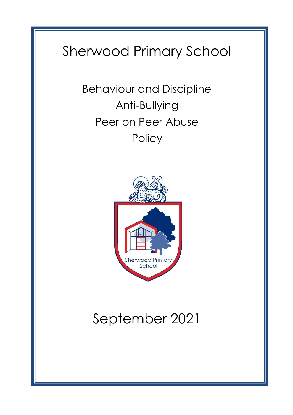# Sherwood Primary School

Behaviour and Discipline Anti-Bullying Peer on Peer Abuse **Policy** 



# September 2021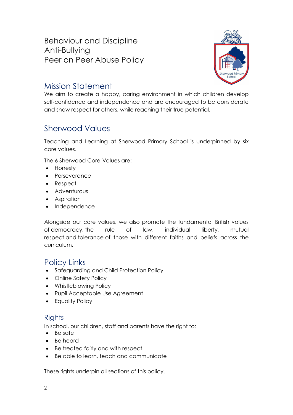Behaviour and Discipline Anti-Bullying Peer on Peer Abuse Policy



## Mission Statement

We aim to create a happy, caring environment in which children develop self-confidence and independence and are encouraged to be considerate and show respect for others, while reaching their true potential.

## Sherwood Values

Teaching and Learning at Sherwood Primary School is underpinned by six core values.

The 6 Sherwood Core-Values are:

- Honesty
- Perseverance
- Respect
- Adventurous
- Aspiration
- Independence

Alongside our core values, we also promote the fundamental British values of democracy, the rule of law, individual liberty, mutual respect and tolerance of those with different faiths and beliefs across the curriculum.

## Policy Links

- Safeguarding and Child Protection Policy
- Online Safety Policy
- Whistleblowing Policy
- Pupil Acceptable Use Agreement
- Equality Policy

### **Rights**

In school, our children, staff and parents have the right to:

- Be safe
- Be heard
- Be treated fairly and with respect
- Be able to learn, teach and communicate

These rights underpin all sections of this policy.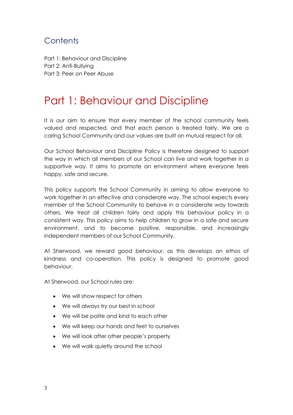## **Contents**

Part 1: Behaviour and Discipline Part 2: Anti-Bullying Part 3: Peer on Peer Abuse

## Part 1: Behaviour and Discipline

It is our aim to ensure that every member of the school community feels valued and respected, and that each person is treated fairly. We are a caring School Community and our values are built on mutual respect for all.

Our School Behaviour and Discipline Policy is therefore designed to support the way in which all members of our School can live and work together in a supportive way. It aims to promote an environment where everyone feels happy, safe and secure.

This policy supports the School Community in aiming to allow everyone to work together in an effective and considerate way. The school expects every member of the School Community to behave in a considerate way towards others. We treat all children fairly and apply this behaviour policy in a consistent way. This policy aims to help children to grow in a safe and secure environment, and to become positive, responsible, and increasingly independent members of our School Community.

At Sherwood, we reward good behaviour, as this develops an ethos of kindness and co-operation. This policy is designed to promote good behaviour.

At Sherwood, our School rules are:

- We will show respect for others
- We will always try our best in school
- We will be polite and kind to each other
- We will keep our hands and feet to ourselves
- We will look after other people's property
- We will walk quietly around the school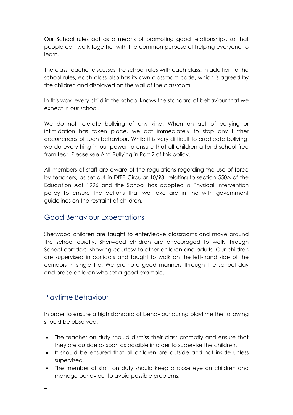Our School rules act as a means of promoting good relationships, so that people can work together with the common purpose of helping everyone to learn.

The class teacher discusses the school rules with each class. In addition to the school rules, each class also has its own classroom code, which is agreed by the children and displayed on the wall of the classroom.

In this way, every child in the school knows the standard of behaviour that we expect in our school.

We do not tolerate bullying of any kind. When an act of bullying or intimidation has taken place, we act immediately to stop any further occurrences of such behaviour. While it is very difficult to eradicate bullying, we do everything in our power to ensure that all children attend school free from fear. Please see Anti-Bullying in Part 2 of this policy.

All members of staff are aware of the regulations regarding the use of force by teachers, as set out in DfEE Circular 10/98, relating to section 550A of the Education Act 1996 and the School has adopted a Physical Intervention policy to ensure the actions that we take are in line with government guidelines on the restraint of children.

### Good Behaviour Expectations

Sherwood children are taught to enter/leave classrooms and move around the school quietly. Sherwood children are encouraged to walk through School corridors, showing courtesy to other children and adults. Our children are supervised in corridors and taught to walk on the left-hand side of the corridors in single file. We promote good manners through the school day and praise children who set a good example.

### Playtime Behaviour

In order to ensure a high standard of behaviour during playtime the following should be observed:

- The teacher on duty should dismiss their class promptly and ensure that they are outside as soon as possible in order to supervise the children.
- It should be ensured that all children are outside and not inside unless supervised.
- The member of staff on duty should keep a close eye on children and manage behaviour to avoid possible problems.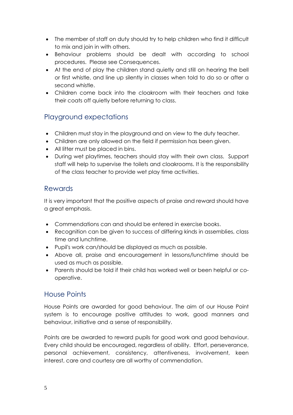- The member of staff on duty should try to help children who find it difficult to mix and join in with others.
- Behaviour problems should be dealt with according to school procedures. Please see Consequences.
- At the end of play the children stand quietly and still on hearing the bell or first whistle, and line up silently in classes when told to do so or after a second whistle.
- Children come back into the cloakroom with their teachers and take their coats off quietly before returning to class.

## Playground expectations

- Children must stay in the playground and on view to the duty teacher.
- Children are only allowed on the field if permission has been given.
- All litter must be placed in bins.
- During wet playtimes, teachers should stay with their own class. Support staff will help to supervise the toilets and cloakrooms. It is the responsibility of the class teacher to provide wet play time activities.

### Rewards

It is very important that the positive aspects of praise and reward should have a great emphasis.

- Commendations can and should be entered in exercise books.
- Recognition can be given to success of differing kinds in assemblies, class time and lunchtime.
- Pupil's work can/should be displayed as much as possible.
- Above all, praise and encouragement in lessons/lunchtime should be used as much as possible.
- Parents should be told if their child has worked well or been helpful or cooperative.

### House Points

House Points are awarded for good behaviour. The aim of our House Point system is to encourage positive attitudes to work, good manners and behaviour, initiative and a sense of responsibility.

Points are be awarded to reward pupils for good work and good behaviour. Every child should be encouraged, regardless of ability. Effort, perseverance, personal achievement, consistency, attentiveness, involvement, keen interest, care and courtesy are all worthy of commendation.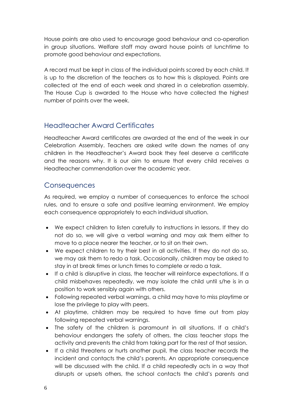House points are also used to encourage good behaviour and co-operation in group situations. Welfare staff may award house points at lunchtime to promote good behaviour and expectations.

A record must be kept in class of the individual points scored by each child. It is up to the discretion of the teachers as to how this is displayed. Points are collected at the end of each week and shared in a celebration assembly. The House Cup is awarded to the House who have collected the highest number of points over the week.

## Headteacher Award Certificates

Headteacher Award certificates are awarded at the end of the week in our Celebration Assembly. Teachers are asked write down the names of any children in the Headteacher's Award book they feel deserve a certificate and the reasons why. It is our aim to ensure that every child receives a Headteacher commendation over the academic year.

#### **Consequences**

As required, we employ a number of consequences to enforce the school rules, and to ensure a safe and positive learning environment. We employ each consequence appropriately to each individual situation.

- We expect children to listen carefully to instructions in lessons. If they do not do so, we will give a verbal warning and may ask them either to move to a place nearer the teacher, or to sit on their own.
- We expect children to try their best in all activities. If they do not do so, we may ask them to redo a task. Occasionally, children may be asked to stay in at break times or lunch times to complete or redo a task.
- If a child is disruptive in class, the teacher will reinforce expectations. If a child misbehaves repeatedly, we may isolate the child until s/he is in a position to work sensibly again with others.
- Following repeated verbal warnings, a child may have to miss playtime or lose the privilege to play with peers.
- At playtime, children may be required to have time out from play following repeated verbal warnings.
- The safety of the children is paramount in all situations. If a child's behaviour endangers the safety of others, the class teacher stops the activity and prevents the child from taking part for the rest of that session.
- If a child threatens or hurts another pupil, the class teacher records the incident and contacts the child's parents. An appropriate consequence will be discussed with the child. If a child repeatedly acts in a way that disrupts or upsets others, the school contacts the child's parents and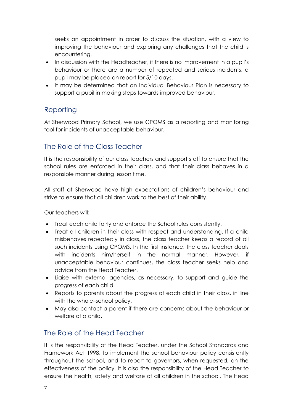seeks an appointment in order to discuss the situation, with a view to improving the behaviour and exploring any challenges that the child is encountering.

- In discussion with the Headteacher, if there is no improvement in a pupil's behaviour or there are a number of repeated and serious incidents, a pupil may be placed on report for 5/10 days.
- It may be determined that an Individual Behaviour Plan is necessary to support a pupil in making steps towards improved behaviour.

## Reporting

At Sherwood Primary School, we use CPOMS as a reporting and monitoring tool for incidents of unacceptable behaviour.

## The Role of the Class Teacher

It is the responsibility of our class teachers and support staff to ensure that the school rules are enforced in their class, and that their class behaves in a responsible manner during lesson time.

All staff at Sherwood have high expectations of children's behaviour and strive to ensure that all children work to the best of their ability.

Our teachers will:

- Treat each child fairly and enforce the School rules consistently.
- Treat all children in their class with respect and understanding. If a child misbehaves repeatedly in class, the class teacher keeps a record of all such incidents using CPOMS. In the first instance, the class teacher deals with incidents him/herself in the normal manner. However, if unacceptable behaviour continues, the class teacher seeks help and advice from the Head Teacher.
- Liaise with external agencies, as necessary, to support and guide the progress of each child.
- Reports to parents about the progress of each child in their class, in line with the whole–school policy.
- May also contact a parent if there are concerns about the behaviour or welfare of a child.

## The Role of the Head Teacher

It is the responsibility of the Head Teacher, under the School Standards and Framework Act 1998, to implement the school behaviour policy consistently throughout the school, and to report to governors, when requested, on the effectiveness of the policy. It is also the responsibility of the Head Teacher to ensure the health, safety and welfare of all children in the school. The Head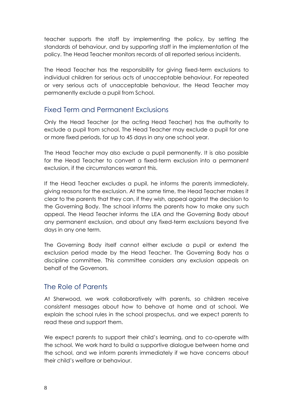teacher supports the staff by implementing the policy, by setting the standards of behaviour, and by supporting staff in the implementation of the policy. The Head Teacher monitors records of all reported serious incidents.

The Head Teacher has the responsibility for giving fixed-term exclusions to individual children for serious acts of unacceptable behaviour. For repeated or very serious acts of unacceptable behaviour, the Head Teacher may permanently exclude a pupil from School.

### Fixed Term and Permanent Exclusions

Only the Head Teacher (or the acting Head Teacher) has the authority to exclude a pupil from school. The Head Teacher may exclude a pupil for one or more fixed periods, for up to 45 days in any one school year.

The Head Teacher may also exclude a pupil permanently. It is also possible for the Head Teacher to convert a fixed-term exclusion into a permanent exclusion, if the circumstances warrant this.

If the Head Teacher excludes a pupil, he informs the parents immediately, giving reasons for the exclusion. At the same time, the Head Teacher makes it clear to the parents that they can, if they wish, appeal against the decision to the Governing Body. The school informs the parents how to make any such appeal. The Head Teacher informs the LEA and the Governing Body about any permanent exclusion, and about any fixed-term exclusions beyond five days in any one term.

The Governing Body itself cannot either exclude a pupil or extend the exclusion period made by the Head Teacher. The Governing Body has a discipline committee. This committee considers any exclusion appeals on behalf of the Governors.

#### The Role of Parents

At Sherwood, we work collaboratively with parents, so children receive consistent messages about how to behave at home and at school. We explain the school rules in the school prospectus, and we expect parents to read these and support them.

We expect parents to support their child's learning, and to co-operate with the school. We work hard to build a supportive dialogue between home and the school, and we inform parents immediately if we have concerns about their child's welfare or behaviour.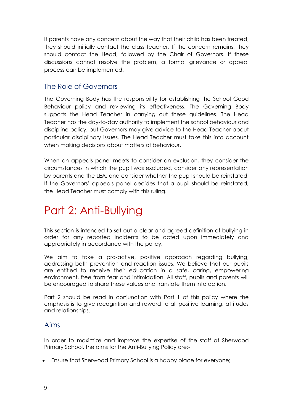If parents have any concern about the way that their child has been treated, they should initially contact the class teacher. If the concern remains, they should contact the Head, followed by the Chair of Governors. If these discussions cannot resolve the problem, a formal grievance or appeal process can be implemented.

### The Role of Governors

The Governing Body has the responsibility for establishing the School Good Behaviour policy and reviewing its effectiveness. The Governing Body supports the Head Teacher in carrying out these guidelines. The Head Teacher has the day-to-day authority to implement the school behaviour and discipline policy, but Governors may give advice to the Head Teacher about particular disciplinary issues. The Head Teacher must take this into account when making decisions about matters of behaviour.

When an appeals panel meets to consider an exclusion, they consider the circumstances in which the pupil was excluded, consider any representation by parents and the LEA, and consider whether the pupil should be reinstated. If the Governors' appeals panel decides that a pupil should be reinstated, the Head Teacher must comply with this ruling.

## Part 2: Anti-Bullying

This section is intended to set out a clear and agreed definition of bullying in order for any reported incidents to be acted upon immediately and appropriately in accordance with the policy.

We aim to take a pro-active, positive approach regarding bullying, addressing both prevention and reaction issues. We believe that our pupils are entitled to receive their education in a safe, caring, empowering environment, free from fear and intimidation. All staff, pupils and parents will be encouraged to share these values and translate them into action.

Part 2 should be read in conjunction with Part 1 of this policy where the emphasis is to give recognition and reward to all positive learning, attitudes and relationships.

#### Aims

In order to maximize and improve the expertise of the staff at Sherwood Primary School, the aims for the Anti-Bullying Policy are:-

• Ensure that Sherwood Primary School is a happy place for everyone;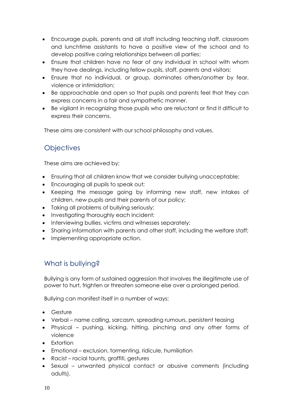- Encourage pupils, parents and all staff including teaching staff, classroom and lunchtime assistants to have a positive view of the school and to develop positive caring relationships between all parties;
- Ensure that children have no fear of any individual in school with whom they have dealings, including fellow pupils, staff, parents and visitors;
- Ensure that no individual, or group, dominates others/another by fear, violence or intimidation;
- Be approachable and open so that pupils and parents feel that they can express concerns in a fair and sympathetic manner.
- Be vigilant in recognizing those pupils who are reluctant or find it difficult to express their concerns.

These aims are consistent with our school philosophy and values.

## **Objectives**

These aims are achieved by:

- Ensuring that all children know that we consider bullying unacceptable;
- Encouraging all pupils to speak out;
- Keeping the message going by informing new staff, new intakes of children, new pupils and their parents of our policy;
- Taking all problems of bullying seriously;
- Investigating thoroughly each incident;
- Interviewing bullies, victims and witnesses separately;
- Sharing information with parents and other staff, including the welfare staff;
- Implementing appropriate action.

## What is bullying?

Bullying is any form of sustained aggression that involves the illegitimate use of power to hurt, frighten or threaten someone else over a prolonged period.

Bullying can manifest itself in a number of ways:

- Gesture
- Verbal name calling, sarcasm, spreading rumours, persistent teasing
- Physical pushing, kicking, hitting, pinching and any other forms of violence
- Extortion
- Emotional exclusion, tormenting, ridicule, humiliation
- Racist racial taunts, graffiti, gestures
- Sexual unwanted physical contact or abusive comments (including adults).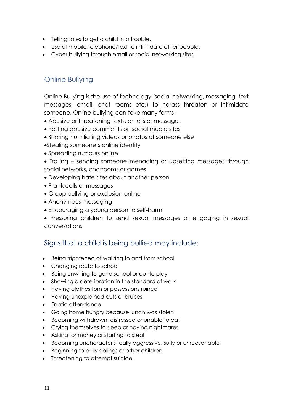- Telling tales to get a child into trouble.
- Use of mobile telephone/text to intimidate other people.
- Cyber bullying through email or social networking sites.

## Online Bullying

Online Bullying is the use of technology (social networking, messaging, text messages, email, chat rooms etc.) to harass threaten or intimidate someone. Online bullying can take many forms:

- Abusive or threatening texts, emails or messages
- Posting abusive comments on social media sites
- Sharing humiliating videos or photos of someone else
- •Stealing someone's online identity
- Spreading rumours online
- Trolling sending someone menacing or upsetting messages through social networks, chatrooms or games
- Developing hate sites about another person
- Prank calls or messages
- Group bullying or exclusion online
- Anonymous messaging
- Encouraging a young person to self-harm
- Pressuring children to send sexual messages or engaging in sexual conversations

### Signs that a child is being bullied may include:

- Being frightened of walking to and from school
- Changing route to school
- Being unwilling to go to school or out to play
- Showing a deterioration in the standard of work
- Having clothes torn or possessions ruined
- Having unexplained cuts or bruises
- Erratic attendance
- Going home hungry because lunch was stolen
- Becoming withdrawn, distressed or unable to eat
- Crying themselves to sleep or having nightmares
- Asking for money or starting to steal
- Becoming uncharacteristically aggressive, surly or unreasonable
- Beginning to bully siblings or other children
- Threatening to attempt suicide.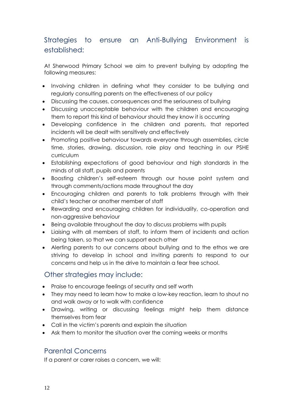## Strategies to ensure an Anti-Bullying Environment is established:

At Sherwood Primary School we aim to prevent bullying by adopting the following measures:

- Involving children in defining what they consider to be bullying and regularly consulting parents on the effectiveness of our policy
- Discussing the causes, consequences and the seriousness of bullying
- Discussing unacceptable behaviour with the children and encouraging them to report this kind of behaviour should they know it is occurring
- Developing confidence in the children and parents, that reported incidents will be dealt with sensitively and effectively
- Promoting positive behaviour towards everyone through assemblies, circle time, stories, drawing, discussion, role play and teaching in our PSHE curriculum
- Establishing expectations of good behaviour and high standards in the minds of all staff, pupils and parents
- Boosting children's self-esteem through our house point system and through comments/actions made throughout the day
- Encouraging children and parents to talk problems through with their child's teacher or another member of staff
- Rewarding and encouraging children for individuality, co-operation and non-aggressive behaviour
- Being available throughout the day to discuss problems with pupils
- Liaising with all members of staff, to inform them of incidents and action being taken, so that we can support each other
- Alerting parents to our concerns about bullying and to the ethos we are striving to develop in school and inviting parents to respond to our concerns and help us in the drive to maintain a fear free school.

### Other strategies may include:

- Praise to encourage feelings of security and self worth
- They may need to learn how to make a low-key reaction, learn to shout no and walk away or to walk with confidence
- Drawing, writing or discussing feelings might help them distance themselves from fear
- Call in the victim's parents and explain the situation
- Ask them to monitor the situation over the coming weeks or months

### Parental Concerns

If a parent or carer raises a concern, we will: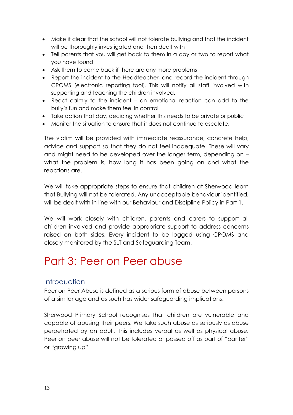- Make it clear that the school will not tolerate bullying and that the incident will be thoroughly investigated and then dealt with
- Tell parents that you will get back to them in a day or two to report what you have found
- Ask them to come back if there are any more problems
- Report the incident to the Headteacher, and record the incident through CPOMS (electronic reporting tool). This will notify all staff involved with supporting and teaching the children involved.
- React calmly to the incident an emotional reaction can add to the bully's fun and make them feel in control
- Take action that day, deciding whether this needs to be private or public
- Monitor the situation to ensure that it does not continue to escalate.

The victim will be provided with immediate reassurance, concrete help, advice and support so that they do not feel inadequate. These will vary and might need to be developed over the longer term, depending on – what the problem is, how long it has been going on and what the reactions are.

We will take appropriate steps to ensure that children at Sherwood learn that Bullying will not be tolerated. Any unacceptable behaviour identified, will be dealt with in line with our Behaviour and Discipline Policy in Part 1.

We will work closely with children, parents and carers to support all children involved and provide appropriate support to address concerns raised on both sides. Every incident to be logged using CPOMS and closely monitored by the SLT and Safeguarding Team.

## Part 3: Peer on Peer abuse

### **Introduction**

Peer on Peer Abuse is defined as a serious form of abuse between persons of a similar age and as such has wider safeguarding implications.

Sherwood Primary School recognises that children are vulnerable and capable of abusing their peers. We take such abuse as seriously as abuse perpetrated by an adult. This includes verbal as well as physical abuse. Peer on peer abuse will not be tolerated or passed off as part of "banter" or "growing up".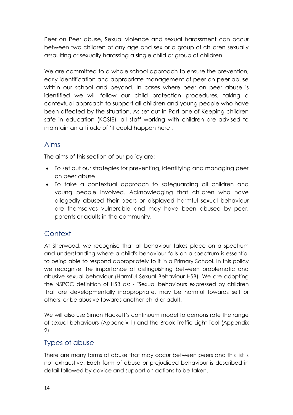Peer on Peer abuse, Sexual violence and sexual harassment can occur between two children of any age and sex or a group of children sexually assaulting or sexually harassing a single child or group of children.

We are committed to a whole school approach to ensure the prevention, early identification and appropriate management of peer on peer abuse within our school and beyond. In cases where peer on peer abuse is identified we will follow our child protection procedures, taking a contextual approach to support all children and young people who have been affected by the situation. As set out in Part one of Keeping children safe in education (KCSIE), all staff working with children are advised to maintain an attitude of 'it could happen here'.

### Aims

The aims of this section of our policy are: -

- To set out our strategies for preventing, identifying and managing peer on peer abuse
- To take a contextual approach to safeguarding all children and young people involved. Acknowledging that children who have allegedly abused their peers or displayed harmful sexual behaviour are themselves vulnerable and may have been abused by peer, parents or adults in the community.

## **Context**

At Sherwood, we recognise that all behaviour takes place on a spectrum and understanding where a child's behaviour falls on a spectrum is essential to being able to respond appropriately to it in a Primary School. In this policy we recognise the importance of distinguishing between problematic and abusive sexual behaviour (Harmful Sexual Behaviour HSB). We are adopting the NSPCC definition of HSB as: - "Sexual behaviours expressed by children that are developmentally inappropriate, may be harmful towards self or others, or be abusive towards another child or adult."

We will also use Simon Hackett's continuum model to demonstrate the range of sexual behaviours (Appendix 1) and the Brook Traffic Light Tool (Appendix 2)

### Types of abuse

There are many forms of abuse that may occur between peers and this list is not exhaustive. Each form of abuse or prejudiced behaviour is described in detail followed by advice and support on actions to be taken.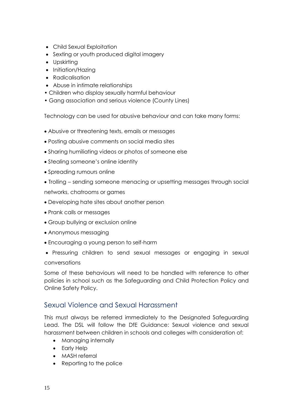- Child Sexual Exploitation
- Sexting or youth produced digital imagery
- Upskirting
- Initiation/Hazing
- Radicalisation
- Abuse in intimate relationships
- Children who display sexually harmful behaviour
- Gang association and serious violence (County Lines)

Technology can be used for abusive behaviour and can take many forms:

- Abusive or threatening texts, emails or messages
- Posting abusive comments on social media sites
- Sharing humiliating videos or photos of someone else
- Stealing someone's online identity
- Spreading rumours online
- Trolling sending someone menacing or upsetting messages through social networks, chatrooms or games
- Developing hate sites about another person
- Prank calls or messages
- Group bullying or exclusion online
- Anonymous messaging
- Encouraging a young person to self-harm
- Pressuring children to send sexual messages or engaging in sexual conversations

Some of these behaviours will need to be handled with reference to other policies in school such as the Safeguarding and Child Protection Policy and Online Safety Policy.

#### Sexual Violence and Sexual Harassment

This must always be referred immediately to the Designated Safeguarding Lead. The DSL will follow the DfE Guidance: Sexual violence and sexual harassment between children in schools and colleges with consideration of:

- Managing internally
- Early Help
- MASH referral
- Reporting to the police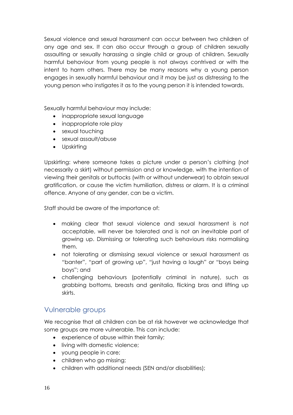Sexual violence and sexual harassment can occur between two children of any age and sex. It can also occur through a group of children sexually assaulting or sexually harassing a single child or group of children. Sexually harmful behaviour from young people is not always contrived or with the intent to harm others. There may be many reasons why a young person engages in sexually harmful behaviour and it may be just as distressing to the young person who instigates it as to the young person it is intended towards.

Sexually harmful behaviour may include:

- inappropriate sexual language
- inappropriate role play
- sexual touching
- sexual assault/abuse
- Upskirting

Upskirting: where someone takes a picture under a person's clothing (not necessarily a skirt) without permission and or knowledge, with the intention of viewing their genitals or buttocks (with or without underwear) to obtain sexual gratification, or cause the victim humiliation, distress or alarm. It is a criminal offence. Anyone of any gender, can be a victim.

Staff should be aware of the importance of:

- making clear that sexual violence and sexual harassment is not acceptable, will never be tolerated and is not an inevitable part of growing up. Dismissing or tolerating such behaviours risks normalising them.
- not tolerating or dismissing sexual violence or sexual harassment as "banter", "part of growing up", "just having a laugh" or "boys being boys"; and
- challenging behaviours (potentially criminal in nature), such as grabbing bottoms, breasts and genitalia, flicking bras and lifting up skirts.

#### Vulnerable groups

We recognise that all children can be at risk however we acknowledge that some groups are more vulnerable. This can include:

- experience of abuse within their family;
- living with domestic violence;
- young people in care;
- children who go missing;
- children with additional needs (SEN and/or disabilities);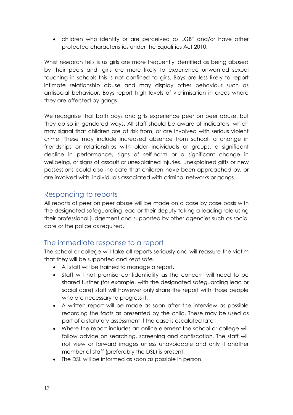• children who identify or are perceived as LGBT and/or have other protected characteristics under the Equalities Act 2010.

Whist research tells is us girls are more frequently identified as being abused by their peers and, girls are more likely to experience unwanted sexual touching in schools this is not confined to girls. Boys are less likely to report intimate relationship abuse and may display other behaviour such as antisocial behaviour. Boys report high levels of victimisation in areas where they are affected by gangs.

We recognise that both boys and girls experience peer on peer abuse, but they do so in gendered ways. All staff should be aware of indicators, which may signal that children are at risk from, or are involved with serious violent crime. These may include increased absence from school, a change in friendships or relationships with older individuals or groups, a significant decline in performance, signs of self-harm or a significant change in wellbeing, or signs of assault or unexplained injuries. Unexplained gifts or new possessions could also indicate that children have been approached by, or are involved with, individuals associated with criminal networks or gangs.

### Responding to reports

All reports of peer on peer abuse will be made on a case by case basis with the designated safeguarding lead or their deputy taking a leading role using their professional judgement and supported by other agencies such as social care or the police as required.

### The immediate response to a report

The school or college will take all reports seriously and will reassure the victim that they will be supported and kept safe.

- All staff will be trained to manage a report.
- Staff will not promise confidentiality as the concern will need to be shared further (for example, with the designated safeguarding lead or social care) staff will however only share the report with those people who are necessary to progress it.
- A written report will be made as soon after the interview as possible recording the facts as presented by the child. These may be used as part of a statutory assessment if the case is escalated later.
- Where the report includes an online element the school or college will follow advice on searching, screening and confiscation. The staff will not view or forward images unless unavoidable and only if another member of staff (preferably the DSL) is present.
- The DSL will be informed as soon as possible in person.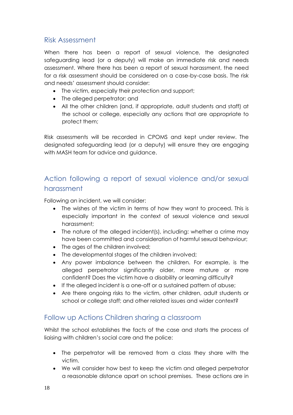### Risk Assessment

When there has been a report of sexual violence, the designated safeguarding lead (or a deputy) will make an immediate risk and needs assessment. Where there has been a report of sexual harassment, the need for a risk assessment should be considered on a case-by-case basis. The risk and needs' assessment should consider:

- The victim, especially their protection and support;
- The alleged perpetrator; and
- All the other children (and, if appropriate, adult students and staff) at the school or college, especially any actions that are appropriate to protect them;

Risk assessments will be recorded in CPOMS and kept under review. The designated safeguarding lead (or a deputy) will ensure they are engaging with MASH team for advice and guidance.

## Action following a report of sexual violence and/or sexual harassment

Following an incident, we will consider:

- The wishes of the victim in terms of how they want to proceed. This is especially important in the context of sexual violence and sexual harassment;
- The nature of the alleged incident(s), including: whether a crime may have been committed and consideration of harmful sexual behaviour;
- The ages of the children involved;
- The developmental stages of the children involved;
- Any power imbalance between the children. For example, is the alleged perpetrator significantly older, more mature or more confident? Does the victim have a disability or learning difficulty?
- If the alleged incident is a one-off or a sustained pattern of abuse;
- Are there ongoing risks to the victim, other children, adult students or school or college staff; and other related issues and wider context?

## Follow up Actions Children sharing a classroom

Whilst the school establishes the facts of the case and starts the process of liaising with children's social care and the police:

- The perpetrator will be removed from a class they share with the victim.
- We will consider how best to keep the victim and alleged perpetrator a reasonable distance apart on school premises. These actions are in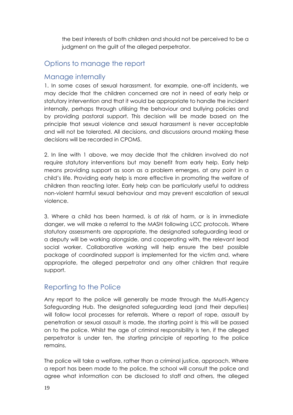the best interests of both children and should not be perceived to be a judgment on the guilt of the alleged perpetrator.

## Options to manage the report

#### Manage internally

1. In some cases of sexual harassment, for example, one-off incidents, we may decide that the children concerned are not in need of early help or statutory intervention and that it would be appropriate to handle the incident internally, perhaps through utilising the behaviour and bullying policies and by providing pastoral support. This decision will be made based on the principle that sexual violence and sexual harassment is never acceptable and will not be tolerated. All decisions, and discussions around making these decisions will be recorded in CPOMS.

2. In line with 1 above, we may decide that the children involved do not require statutory interventions but may benefit from early help. Early help means providing support as soon as a problem emerges, at any point in a child's life. Providing early help is more effective in promoting the welfare of children than reacting later. Early help can be particularly useful to address non-violent harmful sexual behaviour and may prevent escalation of sexual violence.

3. Where a child has been harmed, is at risk of harm, or is in immediate danger, we will make a referral to the MASH following LCC protocols. Where statutory assessments are appropriate, the designated safeguarding lead or a deputy will be working alongside, and cooperating with, the relevant lead social worker. Collaborative working will help ensure the best possible package of coordinated support is implemented for the victim and, where appropriate, the alleged perpetrator and any other children that require support.

## Reporting to the Police

Any report to the police will generally be made through the Multi-Agency Safeguarding Hub. The designated safeguarding lead (and their deputies) will follow local processes for referrals. Where a report of rape, assault by penetration or sexual assault is made, the starting point is this will be passed on to the police. Whilst the age of criminal responsibility is ten, if the alleged perpetrator is under ten, the starting principle of reporting to the police remains.

The police will take a welfare, rather than a criminal justice, approach. Where a report has been made to the police, the school will consult the police and agree what information can be disclosed to staff and others, the alleged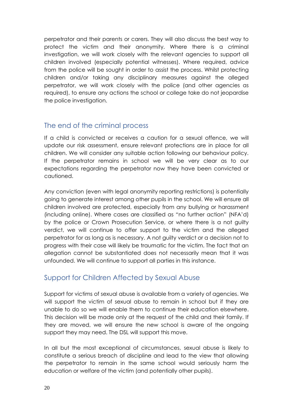perpetrator and their parents or carers. They will also discuss the best way to protect the victim and their anonymity. Where there is a criminal investigation, we will work closely with the relevant agencies to support all children involved (especially potential witnesses). Where required, advice from the police will be sought in order to assist the process. Whilst protecting children and/or taking any disciplinary measures against the alleged perpetrator, we will work closely with the police (and other agencies as required), to ensure any actions the school or college take do not jeopardise the police investigation.

### The end of the criminal process

If a child is convicted or receives a caution for a sexual offence, we will update our risk assessment, ensure relevant protections are in place for all children. We will consider any suitable action following our behaviour policy. If the perpetrator remains in school we will be very clear as to our expectations regarding the perpetrator now they have been convicted or cautioned.

Any conviction (even with legal anonymity reporting restrictions) is potentially going to generate interest among other pupils in the school. We will ensure all children involved are protected, especially from any bullying or harassment (including online). Where cases are classified as "no further action" (NFA'd) by the police or Crown Prosecution Service, or where there is a not guilty verdict, we will continue to offer support to the victim and the alleged perpetrator for as long as is necessary. A not guilty verdict or a decision not to progress with their case will likely be traumatic for the victim. The fact that an allegation cannot be substantiated does not necessarily mean that it was unfounded. We will continue to support all parties in this instance.

### Support for Children Affected by Sexual Abuse

Support for victims of sexual abuse is available from a variety of agencies. We will support the victim of sexual abuse to remain in school but if they are unable to do so we will enable them to continue their education elsewhere. This decision will be made only at the request of the child and their family. If they are moved, we will ensure the new school is aware of the ongoing support they may need. The DSL will support this move.

In all but the most exceptional of circumstances, sexual abuse is likely to constitute a serious breach of discipline and lead to the view that allowing the perpetrator to remain in the same school would seriously harm the education or welfare of the victim (and potentially other pupils).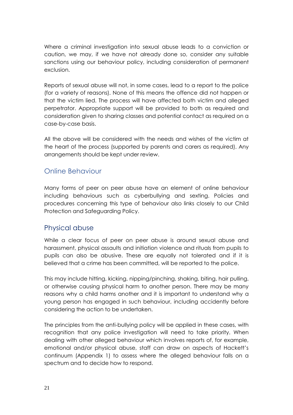Where a criminal investigation into sexual abuse leads to a conviction or caution, we may, if we have not already done so, consider any suitable sanctions using our behaviour policy, including consideration of permanent exclusion.

Reports of sexual abuse will not, in some cases, lead to a report to the police (for a variety of reasons). None of this means the offence did not happen or that the victim lied. The process will have affected both victim and alleged perpetrator. Appropriate support will be provided to both as required and consideration given to sharing classes and potential contact as required on a case-by-case basis.

All the above will be considered with the needs and wishes of the victim at the heart of the process (supported by parents and carers as required). Any arrangements should be kept under review.

### Online Behaviour

Many forms of peer on peer abuse have an element of online behaviour including behaviours such as cyberbullying and sexting. Policies and procedures concerning this type of behaviour also links closely to our Child Protection and Safeguarding Policy.

#### Physical abuse

While a clear focus of peer on peer abuse is around sexual abuse and harassment, physical assaults and initiation violence and rituals from pupils to pupils can also be abusive. These are equally not tolerated and if it is believed that a crime has been committed, will be reported to the police.

This may include hitting, kicking, nipping/pinching, shaking, biting, hair pulling, or otherwise causing physical harm to another person. There may be many reasons why a child harms another and it is important to understand why a young person has engaged in such behaviour, including accidently before considering the action to be undertaken.

The principles from the anti-bullying policy will be applied in these cases, with recognition that any police investigation will need to take priority. When dealing with other alleged behaviour which involves reports of, for example, emotional and/or physical abuse, staff can draw on aspects of Hackett's continuum (Appendix 1) to assess where the alleged behaviour falls on a spectrum and to decide how to respond.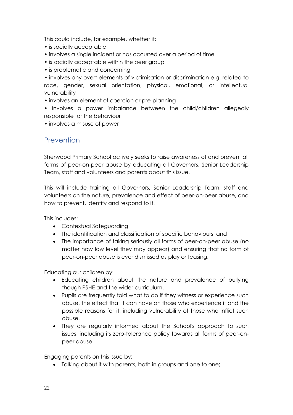This could include, for example, whether it:

- is socially acceptable
- involves a single incident or has occurred over a period of time
- is socially acceptable within the peer group
- is problematic and concerning

• involves any overt elements of victimisation or discrimination e.g. related to race, gender, sexual orientation, physical, emotional, or intellectual vulnerability

• involves an element of coercion or pre-planning

• involves a power imbalance between the child/children allegedly responsible for the behaviour

• involves a misuse of power

### **Prevention**

Sherwood Primary School actively seeks to raise awareness of and prevent all forms of peer-on-peer abuse by educating all Governors, Senior Leadership Team, staff and volunteers and parents about this issue.

This will include training all Governors, Senior Leadership Team, staff and volunteers on the nature, prevalence and effect of peer-on-peer abuse, and how to prevent, identify and respond to it.

This includes:

- Contextual Safeguarding
- The identification and classification of specific behaviours; and
- The importance of taking seriously all forms of peer-on-peer abuse (no matter how low level they may appear) and ensuring that no form of peer-on-peer abuse is ever dismissed as play or teasing.

Educating our children by:

- Educating children about the nature and prevalence of bullying though PSHE and the wider curriculum.
- Pupils are frequently told what to do if they witness or experience such abuse, the effect that it can have on those who experience it and the possible reasons for it, including vulnerability of those who inflict such abuse.
- They are regularly informed about the School's approach to such issues, including its zero-tolerance policy towards all forms of peer-onpeer abuse.

Engaging parents on this issue by:

• Talking about it with parents, both in groups and one to one;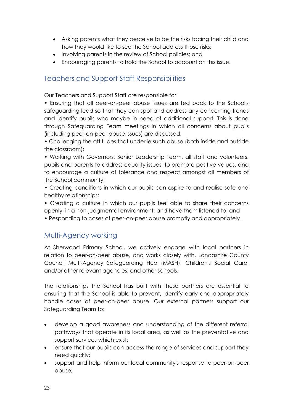- Asking parents what they perceive to be the risks facing their child and how they would like to see the School address those risks;
- Involving parents in the review of School policies; and
- Encouraging parents to hold the School to account on this issue.

### Teachers and Support Staff Responsibilities

Our Teachers and Support Staff are responsible for:

• Ensuring that all peer-on-peer abuse issues are fed back to the School's safeguarding lead so that they can spot and address any concerning trends and identify pupils who maybe in need of additional support. This is done through Safeguarding Team meetings in which all concerns about pupils (including peer-on-peer abuse issues) are discussed;

• Challenging the attitudes that underlie such abuse (both inside and outside the classroom);

• Working with Governors, Senior Leadership Team, all staff and volunteers, pupils and parents to address equality issues, to promote positive values, and to encourage a culture of tolerance and respect amongst all members of the School community;

• Creating conditions in which our pupils can aspire to and realise safe and healthy relationships;

• Creating a culture in which our pupils feel able to share their concerns openly, in a non-judgmental environment, and have them listened to; and

• Responding to cases of peer-on-peer abuse promptly and appropriately.

### Multi-Agency working

At Sherwood Primary School, we actively engage with local partners in relation to peer-on-peer abuse, and works closely with, Lancashire County Council Multi-Agency Safeguarding Hub (MASH), Children's Social Care, and/or other relevant agencies, and other schools.

The relationships the School has built with these partners are essential to ensuring that the School is able to prevent, identify early and appropriately handle cases of peer-on-peer abuse. Our external partners support our Safeguarding Team to:

- develop a good awareness and understanding of the different referral pathways that operate in its local area, as well as the preventative and support services which exist;
- ensure that our pupils can access the range of services and support they need quickly;
- support and help inform our local community's response to peer-on-peer abuse;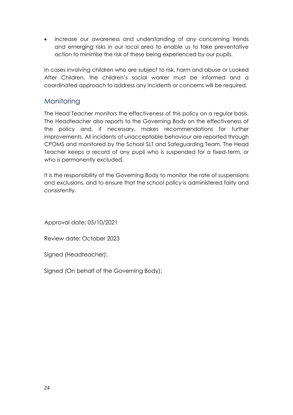• increase our awareness and understanding of any concerning trends and emerging risks in our local area to enable us to take preventative action to minimise the risk of these being experienced by our pupils.

In cases involving children who are subject to risk, harm and abuse or Looked After Children, the children's social worker must be informed and a coordinated approach to address any incidents or concerns will be required.

## **Monitoring**

The Head Teacher monitors the effectiveness of this policy on a regular basis. The Headteacher also reports to the Governing Body on the effectiveness of the policy and, if necessary, makes recommendations for further improvements. All incidents of unacceptable behaviour are reported through CPOMS and monitored by the School SLT and Safeguarding Team. The Head Teacher keeps a record of any pupil who is suspended for a fixed-term, or who is permanently excluded.

It is the responsibility of the Governing Body to monitor the rate of suspensions and exclusions, and to ensure that the school policy is administered fairly and consistently.

Approval date: 05/10/2021

Review date: October 2023

Signed (Headteacher):

Signed (On behalf of the Governing Body):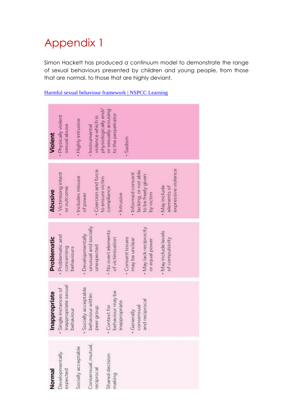## Appendix 1

Simon Hackett has produced a continuum model to demonstrate the range of sexual behaviours presented by children and young people, from those that are normal, to those that are highly deviant.

#### [Harmful sexual behaviour framework | NSPCC Learning](https://learning.nspcc.org.uk/research-resources/2019/harmful-sexual-behaviour-framework)

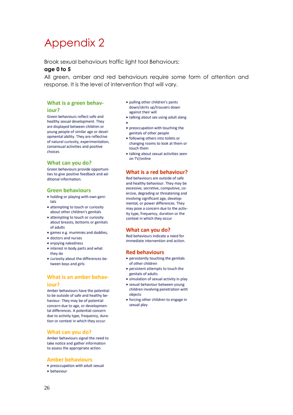## Appendix 2

Brook sexual behaviours traffic light tool Behaviours:

#### **age 0 to 5**

All green, amber and red behaviours require some form of attention and response. It is the level of intervention that will vary.

#### What is a green behaviour?

Green behaviours reflect safe and healthy sexual development. They are displayed between children or young people of similar age or developmental ability. They are reflective of natural curiosity, experimentation, consensual activities and positive choices

#### What can you do?

Green behaviours provide opportunities to give positive feedback and additional information.

#### **Green behaviours**

- . holding or playing with own genitals
- attempting to touch or curiosity about other children's genitals
- attempting to touch or curiosity about breasts, bottoms or genitals of adults
- · games e.g. mummies and daddies,
- · doctors and nurses
- enjoying nakedness
- interest in body parts and what they do
- curiosity about the differences between boys and girls

#### What is an amber behaviour?

Amber behaviours have the potential to be outside of safe and healthy behaviour. They may be of potential concern due to age, or developmental differences. A potential concern due to activity type, frequency, duration or context in which they occur.

#### What can you do?

Amber behaviours signal the need to take notice and gather information to assess the appropriate action.

#### **Amber behaviours**

- preoccupation with adult sexual
- · behaviour
- · pulling other children's pants down/skirts up/trousers down against their will
- talking about sex using adult slang
- 
- preoccupation with touching the genitals of other people
- · following others into toilets or changing rooms to look at them or touch them
- · talking about sexual activities seen on TV/online

#### What is a red behaviour?

Red behaviours are outside of safe and healthy behaviour. They may be excessive, secretive, compulsive, coercive, degrading or threatening and involving significant age, developmental, or power differences. They may pose a concern due to the activity type, frequency, duration or the context in which they occur

#### What can you do?

Red behaviours indicate a need for immediate intervention and action.

#### **Red behaviours**

- persistently touching the genitals of other children
- persistent attempts to touch the genitals of adults
- · simulation of sexual activity in play
- · sexual behaviour between young children involving penetration with objects
- · forcing other children to engage in sexual play